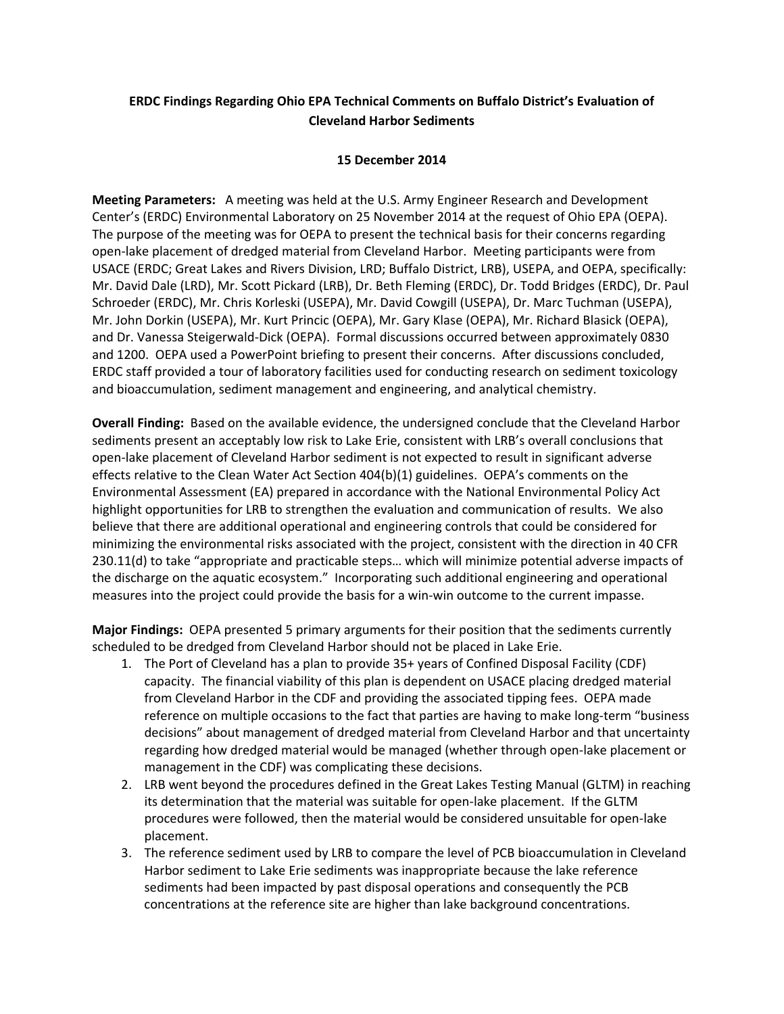## **ERDC Findings Regarding Ohio EPA Technical Comments on Buffalo District's Evaluation of Cleveland Harbor Sediments**

## **15 December 2014**

**Meeting Parameters:** A meeting was held at the U.S. Army Engineer Research and Development Center's (ERDC) Environmental Laboratory on 25 November 2014 at the request of Ohio EPA (OEPA). The purpose of the meeting was for OEPA to present the technical basis for their concerns regarding open‐lake placement of dredged material from Cleveland Harbor. Meeting participants were from USACE (ERDC; Great Lakes and Rivers Division, LRD; Buffalo District, LRB), USEPA, and OEPA, specifically: Mr. David Dale (LRD), Mr. Scott Pickard (LRB), Dr. Beth Fleming (ERDC), Dr. Todd Bridges (ERDC), Dr. Paul Schroeder (ERDC), Mr. Chris Korleski (USEPA), Mr. David Cowgill (USEPA), Dr. Marc Tuchman (USEPA), Mr. John Dorkin (USEPA), Mr. Kurt Princic (OEPA), Mr. Gary Klase (OEPA), Mr. Richard Blasick (OEPA), and Dr. Vanessa Steigerwald‐Dick (OEPA). Formal discussions occurred between approximately 0830 and 1200. OEPA used a PowerPoint briefing to present their concerns. After discussions concluded, ERDC staff provided a tour of laboratory facilities used for conducting research on sediment toxicology and bioaccumulation, sediment management and engineering, and analytical chemistry.

**Overall Finding:** Based on the available evidence, the undersigned conclude that the Cleveland Harbor sediments present an acceptably low risk to Lake Erie, consistent with LRB's overall conclusions that open‐lake placement of Cleveland Harbor sediment is not expected to result in significant adverse effects relative to the Clean Water Act Section 404(b)(1) guidelines. OEPA's comments on the Environmental Assessment (EA) prepared in accordance with the National Environmental Policy Act highlight opportunities for LRB to strengthen the evaluation and communication of results. We also believe that there are additional operational and engineering controls that could be considered for minimizing the environmental risks associated with the project, consistent with the direction in 40 CFR 230.11(d) to take "appropriate and practicable steps… which will minimize potential adverse impacts of the discharge on the aquatic ecosystem." Incorporating such additional engineering and operational measures into the project could provide the basis for a win‐win outcome to the current impasse.

**Major Findings:** OEPA presented 5 primary arguments for their position that the sediments currently scheduled to be dredged from Cleveland Harbor should not be placed in Lake Erie.

- 1. The Port of Cleveland has a plan to provide 35+ years of Confined Disposal Facility (CDF) capacity. The financial viability of this plan is dependent on USACE placing dredged material from Cleveland Harbor in the CDF and providing the associated tipping fees. OEPA made reference on multiple occasions to the fact that parties are having to make long-term "business" decisions" about management of dredged material from Cleveland Harbor and that uncertainty regarding how dredged material would be managed (whether through open‐lake placement or management in the CDF) was complicating these decisions.
- 2. LRB went beyond the procedures defined in the Great Lakes Testing Manual (GLTM) in reaching its determination that the material was suitable for open-lake placement. If the GLTM procedures were followed, then the material would be considered unsuitable for open‐lake placement.
- 3. The reference sediment used by LRB to compare the level of PCB bioaccumulation in Cleveland Harbor sediment to Lake Erie sediments was inappropriate because the lake reference sediments had been impacted by past disposal operations and consequently the PCB concentrations at the reference site are higher than lake background concentrations.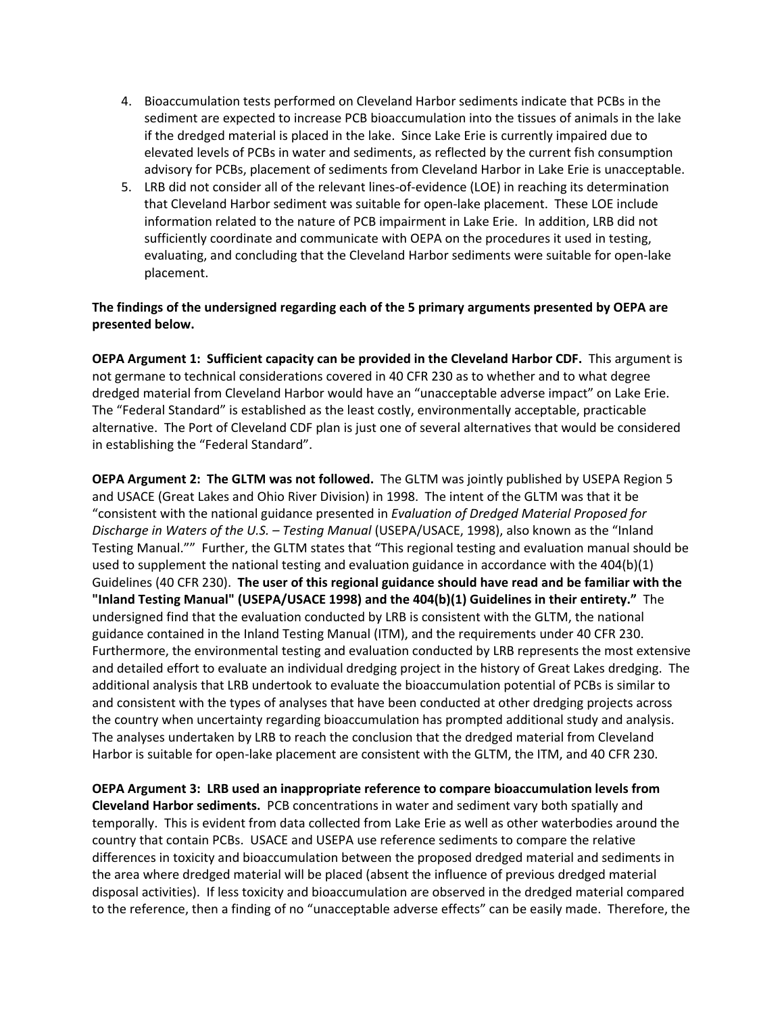- 4. Bioaccumulation tests performed on Cleveland Harbor sediments indicate that PCBs in the sediment are expected to increase PCB bioaccumulation into the tissues of animals in the lake if the dredged material is placed in the lake. Since Lake Erie is currently impaired due to elevated levels of PCBs in water and sediments, as reflected by the current fish consumption advisory for PCBs, placement of sediments from Cleveland Harbor in Lake Erie is unacceptable.
- 5. LRB did not consider all of the relevant lines-of-evidence (LOE) in reaching its determination that Cleveland Harbor sediment was suitable for open‐lake placement. These LOE include information related to the nature of PCB impairment in Lake Erie. In addition, LRB did not sufficiently coordinate and communicate with OEPA on the procedures it used in testing, evaluating, and concluding that the Cleveland Harbor sediments were suitable for open‐lake placement.

## **The findings of the undersigned regarding each of the 5 primary arguments presented by OEPA are presented below.**

**OEPA Argument 1: Sufficient capacity can be provided in the Cleveland Harbor CDF.** This argument is not germane to technical considerations covered in 40 CFR 230 as to whether and to what degree dredged material from Cleveland Harbor would have an "unacceptable adverse impact" on Lake Erie. The "Federal Standard" is established as the least costly, environmentally acceptable, practicable alternative. The Port of Cleveland CDF plan is just one of several alternatives that would be considered in establishing the "Federal Standard".

**OEPA Argument 2: The GLTM was not followed.** The GLTM was jointly published by USEPA Region 5 and USACE (Great Lakes and Ohio River Division) in 1998. The intent of the GLTM was that it be "consistent with the national guidance presented in *Evaluation of Dredged Material Proposed for Discharge in Waters of the U.S. – Testing Manual* (USEPA/USACE, 1998), also known as the "Inland Testing Manual."" Further, the GLTM states that "This regional testing and evaluation manual should be used to supplement the national testing and evaluation guidance in accordance with the 404(b)(1) Guidelines (40 CFR 230). **The user of this regional guidance should have read and be familiar with the "Inland Testing Manual" (USEPA/USACE 1998) and the 404(b)(1) Guidelines in their entirety."** The undersigned find that the evaluation conducted by LRB is consistent with the GLTM, the national guidance contained in the Inland Testing Manual (ITM), and the requirements under 40 CFR 230. Furthermore, the environmental testing and evaluation conducted by LRB represents the most extensive and detailed effort to evaluate an individual dredging project in the history of Great Lakes dredging. The additional analysis that LRB undertook to evaluate the bioaccumulation potential of PCBs is similar to and consistent with the types of analyses that have been conducted at other dredging projects across the country when uncertainty regarding bioaccumulation has prompted additional study and analysis. The analyses undertaken by LRB to reach the conclusion that the dredged material from Cleveland Harbor is suitable for open‐lake placement are consistent with the GLTM, the ITM, and 40 CFR 230.

**OEPA Argument 3: LRB used an inappropriate reference to compare bioaccumulation levels from Cleveland Harbor sediments.** PCB concentrations in water and sediment vary both spatially and temporally. This is evident from data collected from Lake Erie as well as other waterbodies around the country that contain PCBs. USACE and USEPA use reference sediments to compare the relative differences in toxicity and bioaccumulation between the proposed dredged material and sediments in the area where dredged material will be placed (absent the influence of previous dredged material disposal activities). If less toxicity and bioaccumulation are observed in the dredged material compared to the reference, then a finding of no "unacceptable adverse effects" can be easily made. Therefore, the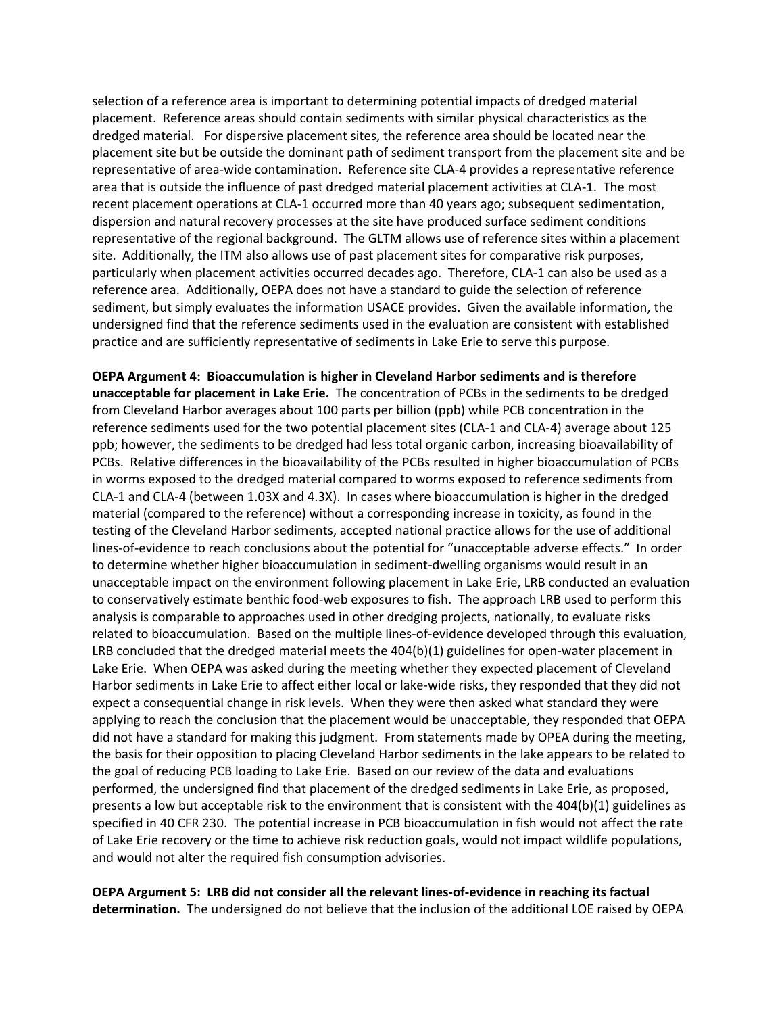selection of a reference area is important to determining potential impacts of dredged material placement. Reference areas should contain sediments with similar physical characteristics as the dredged material. For dispersive placement sites, the reference area should be located near the placement site but be outside the dominant path of sediment transport from the placement site and be representative of area‐wide contamination. Reference site CLA‐4 provides a representative reference area that is outside the influence of past dredged material placement activities at CLA‐1. The most recent placement operations at CLA‐1 occurred more than 40 years ago; subsequent sedimentation, dispersion and natural recovery processes at the site have produced surface sediment conditions representative of the regional background. The GLTM allows use of reference sites within a placement site. Additionally, the ITM also allows use of past placement sites for comparative risk purposes, particularly when placement activities occurred decades ago. Therefore, CLA‐1 can also be used as a reference area. Additionally, OEPA does not have a standard to guide the selection of reference sediment, but simply evaluates the information USACE provides. Given the available information, the undersigned find that the reference sediments used in the evaluation are consistent with established practice and are sufficiently representative of sediments in Lake Erie to serve this purpose.

**OEPA Argument 4: Bioaccumulation is higher in Cleveland Harbor sediments and is therefore unacceptable for placement in Lake Erie.** The concentration of PCBs in the sediments to be dredged from Cleveland Harbor averages about 100 parts per billion (ppb) while PCB concentration in the reference sediments used for the two potential placement sites (CLA‐1 and CLA‐4) average about 125 ppb; however, the sediments to be dredged had less total organic carbon, increasing bioavailability of PCBs. Relative differences in the bioavailability of the PCBs resulted in higher bioaccumulation of PCBs in worms exposed to the dredged material compared to worms exposed to reference sediments from CLA‐1 and CLA‐4 (between 1.03X and 4.3X). In cases where bioaccumulation is higher in the dredged material (compared to the reference) without a corresponding increase in toxicity, as found in the testing of the Cleveland Harbor sediments, accepted national practice allows for the use of additional lines-of-evidence to reach conclusions about the potential for "unacceptable adverse effects." In order to determine whether higher bioaccumulation in sediment-dwelling organisms would result in an unacceptable impact on the environment following placement in Lake Erie, LRB conducted an evaluation to conservatively estimate benthic food‐web exposures to fish. The approach LRB used to perform this analysis is comparable to approaches used in other dredging projects, nationally, to evaluate risks related to bioaccumulation. Based on the multiple lines‐of‐evidence developed through this evaluation, LRB concluded that the dredged material meets the 404(b)(1) guidelines for open-water placement in Lake Erie. When OEPA was asked during the meeting whether they expected placement of Cleveland Harbor sediments in Lake Erie to affect either local or lake‐wide risks, they responded that they did not expect a consequential change in risk levels. When they were then asked what standard they were applying to reach the conclusion that the placement would be unacceptable, they responded that OEPA did not have a standard for making this judgment. From statements made by OPEA during the meeting, the basis for their opposition to placing Cleveland Harbor sediments in the lake appears to be related to the goal of reducing PCB loading to Lake Erie. Based on our review of the data and evaluations performed, the undersigned find that placement of the dredged sediments in Lake Erie, as proposed, presents a low but acceptable risk to the environment that is consistent with the 404(b)(1) guidelines as specified in 40 CFR 230. The potential increase in PCB bioaccumulation in fish would not affect the rate of Lake Erie recovery or the time to achieve risk reduction goals, would not impact wildlife populations, and would not alter the required fish consumption advisories.

OEPA Argument 5: LRB did not consider all the relevant lines-of-evidence in reaching its factual **determination.** The undersigned do not believe that the inclusion of the additional LOE raised by OEPA